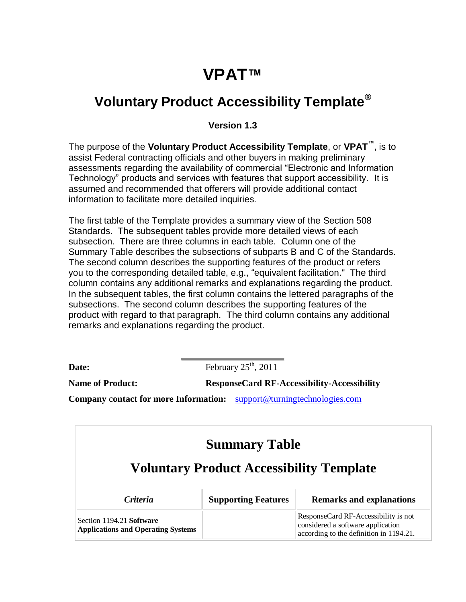## **VPAT™**

## **Voluntary Product Accessibility Template®**

**Version 1.3**

The purpose of the **Voluntary Product Accessibility Template**, or **VPAT™**, is to assist Federal contracting officials and other buyers in making preliminary assessments regarding the availability of commercial "Electronic and Information Technology" products and services with features that support accessibility. It is assumed and recommended that offerers will provide additional contact information to facilitate more detailed inquiries.

The first table of the Template provides a summary view of the Section 508 Standards. The subsequent tables provide more detailed views of each subsection. There are three columns in each table. Column one of the Summary Table describes the subsections of subparts B and C of the Standards. The second column describes the supporting features of the product or refers you to the corresponding detailed table, e.g., "equivalent facilitation." The third column contains any additional remarks and explanations regarding the product. In the subsequent tables, the first column contains the lettered paragraphs of the subsections. The second column describes the supporting features of the product with regard to that paragraph. The third column contains any additional remarks and explanations regarding the product.

**Date:** February  $25<sup>th</sup>$ ,  $2011$ 

**Name of Product: ResponseCard RF-Accessibility-Accessibility** 

**Company** c**ontact for more Information:** support@turningtechnologies.com

| <b>Summary Table</b>                                                  |                                                 |                                                                                                                      |
|-----------------------------------------------------------------------|-------------------------------------------------|----------------------------------------------------------------------------------------------------------------------|
|                                                                       | <b>Voluntary Product Accessibility Template</b> |                                                                                                                      |
| <i>Criteria</i>                                                       | <b>Supporting Features</b>                      | <b>Remarks and explanations</b>                                                                                      |
| Section 1194.21 Software<br><b>Applications and Operating Systems</b> |                                                 | ResponseCard RF-Accessibility is not<br>considered a software application<br>according to the definition in 1194.21. |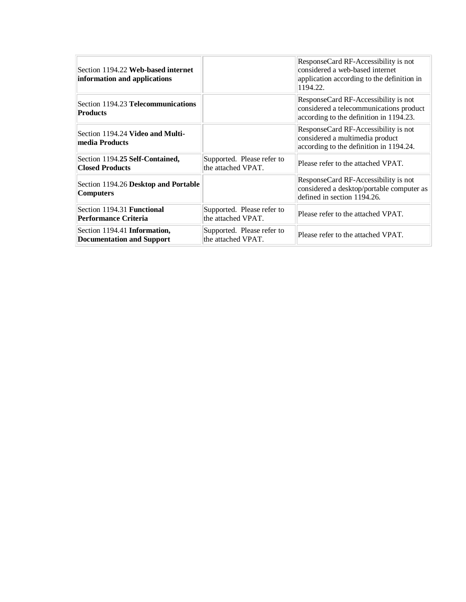| Section 1194.22 Web-based internet<br>information and applications |                                                  | ResponseCard RF-Accessibility is not<br>considered a web-based internet<br>application according to the definition in<br>1194.22. |
|--------------------------------------------------------------------|--------------------------------------------------|-----------------------------------------------------------------------------------------------------------------------------------|
| Section 1194.23 Telecommunications<br><b>Products</b>              |                                                  | ResponseCard RF-Accessibility is not<br>considered a telecommunications product<br>according to the definition in 1194.23.        |
| Section 1194.24 Video and Multi-<br>media Products                 |                                                  | ResponseCard RF-Accessibility is not<br>considered a multimedia product<br>according to the definition in 1194.24.                |
| Section 1194.25 Self-Contained,<br><b>Closed Products</b>          | Supported. Please refer to<br>the attached VPAT. | Please refer to the attached VPAT.                                                                                                |
| Section 1194.26 Desktop and Portable<br><b>Computers</b>           |                                                  | ResponseCard RF-Accessibility is not<br>considered a desktop/portable computer as<br>defined in section 1194.26.                  |
| Section 1194.31 Functional<br><b>Performance Criteria</b>          | Supported. Please refer to<br>the attached VPAT. | Please refer to the attached VPAT.                                                                                                |
| Section 1194.41 Information,<br><b>Documentation and Support</b>   | Supported. Please refer to<br>the attached VPAT. | Please refer to the attached VPAT.                                                                                                |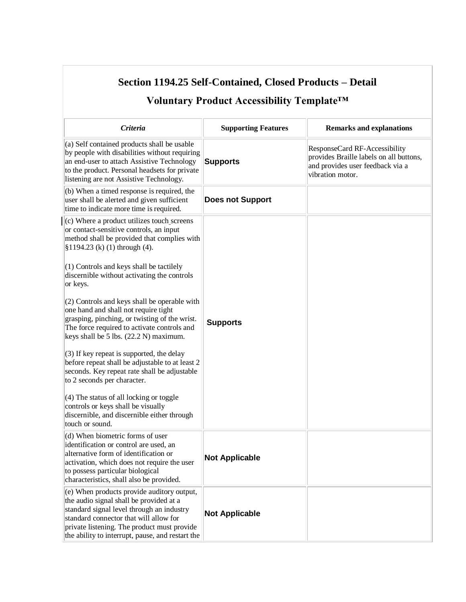| Section 1194.25 Self-Contained, Closed Products – Detail<br>Voluntary Product Accessibility Template™                                                                                                                                                                           |                            |                                                                                                                                  |
|---------------------------------------------------------------------------------------------------------------------------------------------------------------------------------------------------------------------------------------------------------------------------------|----------------------------|----------------------------------------------------------------------------------------------------------------------------------|
|                                                                                                                                                                                                                                                                                 |                            |                                                                                                                                  |
| Criteria                                                                                                                                                                                                                                                                        | <b>Supporting Features</b> | <b>Remarks and explanations</b>                                                                                                  |
| (a) Self contained products shall be usable<br>by people with disabilities without requiring<br>an end-user to attach Assistive Technology<br>to the product. Personal headsets for private<br>listening are not Assistive Technology.                                          | <b>Supports</b>            | ResponseCard RF-Accessibility<br>provides Braille labels on all buttons,<br>and provides user feedback via a<br>vibration motor. |
| (b) When a timed response is required, the<br>user shall be alerted and given sufficient<br>time to indicate more time is required.                                                                                                                                             | <b>Does not Support</b>    |                                                                                                                                  |
| (c) Where a product utilizes touch_screens<br>or contact-sensitive controls, an input<br>method shall be provided that complies with<br>$$1194.23$ (k) (1) through (4).                                                                                                         |                            |                                                                                                                                  |
| (1) Controls and keys shall be tactilely<br>discernible without activating the controls<br>or keys.                                                                                                                                                                             |                            |                                                                                                                                  |
| (2) Controls and keys shall be operable with<br>one hand and shall not require tight<br>grasping, pinching, or twisting of the wrist.<br>The force required to activate controls and<br>keys shall be 5 lbs. (22.2 N) maximum.                                                  | <b>Supports</b>            |                                                                                                                                  |
| (3) If key repeat is supported, the delay<br>before repeat shall be adjustable to at least 2<br>seconds. Key repeat rate shall be adjustable<br>to 2 seconds per character.                                                                                                     |                            |                                                                                                                                  |
| $(4)$ The status of all locking or toggle<br>controls or keys shall be visually<br>discernible, and discernible either through<br>touch or sound.                                                                                                                               |                            |                                                                                                                                  |
| (d) When biometric forms of user<br>identification or control are used, an<br>alternative form of identification or<br>activation, which does not require the user<br>to possess particular biological<br>characteristics, shall also be provided.                              | <b>Not Applicable</b>      |                                                                                                                                  |
| (e) When products provide auditory output,<br>the audio signal shall be provided at a<br>standard signal level through an industry<br>standard connector that will allow for<br>private listening. The product must provide<br>the ability to interrupt, pause, and restart the | <b>Not Applicable</b>      |                                                                                                                                  |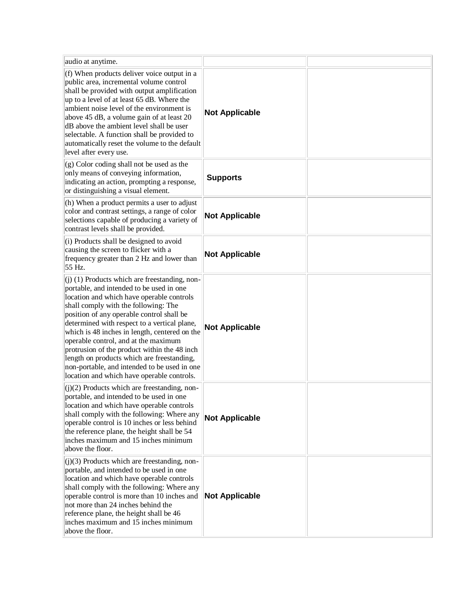| audio at anytime.                                                                                                                                                                                                                                                                                                                                                                                                                                                                                                                                                  |                       |  |
|--------------------------------------------------------------------------------------------------------------------------------------------------------------------------------------------------------------------------------------------------------------------------------------------------------------------------------------------------------------------------------------------------------------------------------------------------------------------------------------------------------------------------------------------------------------------|-----------------------|--|
| (f) When products deliver voice output in a<br>public area, incremental volume control<br>shall be provided with output amplification<br>up to a level of at least 65 dB. Where the<br>ambient noise level of the environment is<br>above 45 dB, a volume gain of at least 20<br>dB above the ambient level shall be user<br>selectable. A function shall be provided to<br>automatically reset the volume to the default<br>level after every use.                                                                                                                | <b>Not Applicable</b> |  |
| $(g)$ Color coding shall not be used as the<br>only means of conveying information,<br>indicating an action, prompting a response,<br>or distinguishing a visual element.                                                                                                                                                                                                                                                                                                                                                                                          | <b>Supports</b>       |  |
| (h) When a product permits a user to adjust<br>color and contrast settings, a range of color<br>selections capable of producing a variety of<br>contrast levels shall be provided.                                                                                                                                                                                                                                                                                                                                                                                 | <b>Not Applicable</b> |  |
| (i) Products shall be designed to avoid<br>causing the screen to flicker with a<br>frequency greater than 2 Hz and lower than<br>55 Hz.                                                                                                                                                                                                                                                                                                                                                                                                                            | <b>Not Applicable</b> |  |
| $(j)$ (1) Products which are freestanding, non-<br>portable, and intended to be used in one<br>location and which have operable controls<br>shall comply with the following: The<br>position of any operable control shall be<br>determined with respect to a vertical plane,<br>which is 48 inches in length, centered on the<br>operable control, and at the maximum<br>protrusion of the product within the 48 inch<br>length on products which are freestanding,<br>non-portable, and intended to be used in one<br>location and which have operable controls. | <b>Not Applicable</b> |  |
| $(j)(2)$ Products which are freestanding, non-<br>portable, and intended to be used in one<br>location and which have operable controls<br>shall comply with the following: Where any<br>operable control is 10 inches or less behind<br>the reference plane, the height shall be 54<br>inches maximum and 15 inches minimum<br>above the floor.                                                                                                                                                                                                                   | <b>Not Applicable</b> |  |
| $(j)(3)$ Products which are freestanding, non-<br>portable, and intended to be used in one<br>location and which have operable controls<br>shall comply with the following: Where any<br>operable control is more than 10 inches and<br>not more than 24 inches behind the<br>reference plane, the height shall be 46<br>inches maximum and 15 inches minimum<br>above the floor.                                                                                                                                                                                  | <b>Not Applicable</b> |  |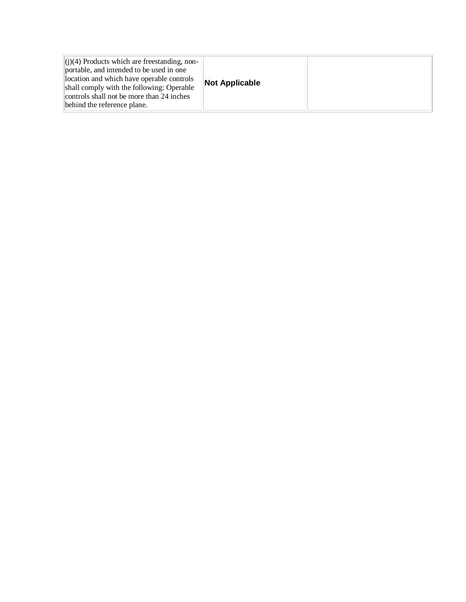|--|--|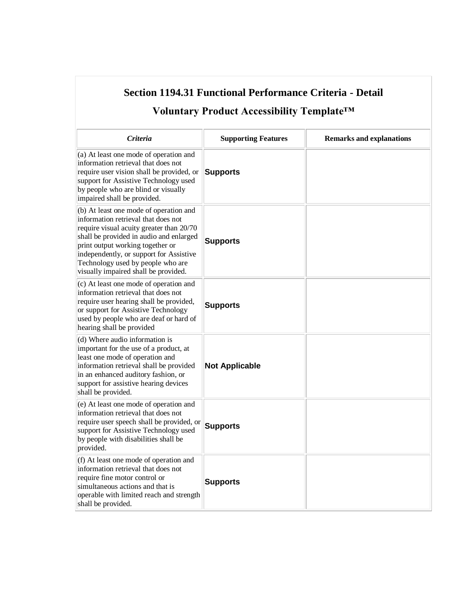| Section 1194.31 Functional Performance Criteria - Detail<br>Voluntary Product Accessibility Template <sup>TM</sup>                                                                                                                                                                                                               |                            |                                 |
|----------------------------------------------------------------------------------------------------------------------------------------------------------------------------------------------------------------------------------------------------------------------------------------------------------------------------------|----------------------------|---------------------------------|
| Criteria                                                                                                                                                                                                                                                                                                                         | <b>Supporting Features</b> | <b>Remarks and explanations</b> |
| (a) At least one mode of operation and<br>information retrieval that does not<br>require user vision shall be provided, or<br>support for Assistive Technology used<br>by people who are blind or visually<br>impaired shall be provided.                                                                                        | <b>Supports</b>            |                                 |
| (b) At least one mode of operation and<br>information retrieval that does not<br>require visual acuity greater than 20/70<br>shall be provided in audio and enlarged<br>print output working together or<br>independently, or support for Assistive<br>Technology used by people who are<br>visually impaired shall be provided. | <b>Supports</b>            |                                 |
| (c) At least one mode of operation and<br>information retrieval that does not<br>require user hearing shall be provided,<br>or support for Assistive Technology<br>used by people who are deaf or hard of<br>hearing shall be provided                                                                                           | <b>Supports</b>            |                                 |
| (d) Where audio information is<br>important for the use of a product, at<br>least one mode of operation and<br>information retrieval shall be provided<br>in an enhanced auditory fashion, or<br>support for assistive hearing devices<br>shall be provided.                                                                     | <b>Not Applicable</b>      |                                 |
| (e) At least one mode of operation and<br>information retrieval that does not<br>require user speech shall be provided, or<br>support for Assistive Technology used<br>by people with disabilities shall be<br>provided.                                                                                                         | <b>Supports</b>            |                                 |
| (f) At least one mode of operation and<br>information retrieval that does not<br>require fine motor control or<br>simultaneous actions and that is<br>operable with limited reach and strength<br>shall be provided.                                                                                                             | <b>Supports</b>            |                                 |